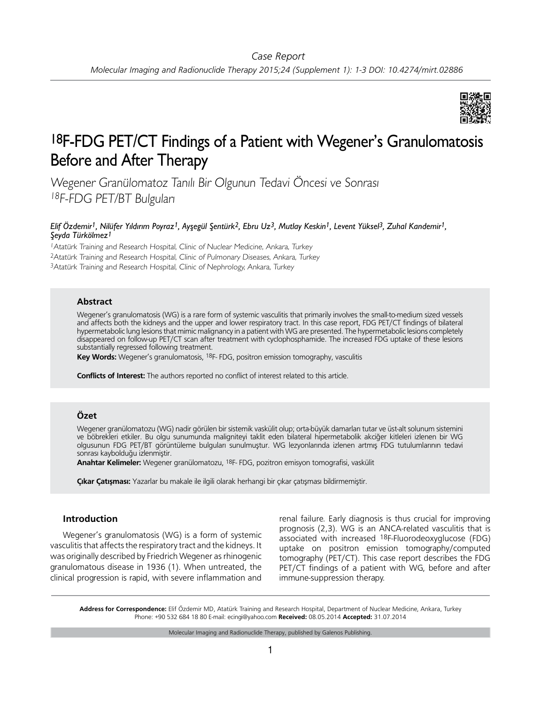

# 18F-FDG PET/CT Findings of a Patient with Wegener's Granulomatosis Before and After Therapy

Wegener Granülomatoz Tanılı Bir Olgunun Tedavi Öncesi ve Sonrası <sup>18</sup>F-FDG PET/BT Bulguları

## *Elif Özdemir1, Nilüfer Yıldırım Poyraz1, Ayşegül Şentürk2, Ebru Uz3, Mutlay Keskin1, Levent Yüksel3, Zuhal Kandemir1, Şeyda Türkölmez1*

<sup>1</sup>Atatürk Training and Research Hospital, Clinic of Nuclear Medicine, Ankara, Turkey <sup>2</sup>Atatürk Training and Research Hospital, Clinic of Pulmonary Diseases, Ankara, Turkey <sup>3</sup>Atatürk Training and Research Hospital, Clinic of Nephrology, Ankara, Turkey

### **Abstract**

Wegener's granulomatosis (WG) is a rare form of systemic vasculitis that primarily involves the small-to-medium sized vessels and affects both the kidneys and the upper and lower respiratory tract. In this case report, FDG PET/CT findings of bilateral hypermetabolic lung lesions that mimic malignancy in a patient with WG are presented. The hypermetabolic lesions completely disappeared on follow-up PET/CT scan after treatment with cyclophosphamide. The increased FDG uptake of these lesions substantially regressed following treatment.

**Key Words:** Wegener's granulomatosis, 18F- FDG, positron emission tomography, vasculitis

**Conflicts of Interest:** The authors reported no conflict of interest related to this article.

## **Özet**

Wegener granülomatozu (WG) nadir görülen bir sistemik vaskülit olup; orta-büyük damarları tutar ve üst-alt solunum sistemini ve böbrekleri etkiler. Bu olgu sunumunda maligniteyi taklit eden bilateral hipermetabolik akciğer kitleleri izlenen bir WG olgusunun FDG PET/BT görüntüleme bulguları sunulmuştur. WG lezyonlarında izlenen artmış FDG tutulumlarının tedavi sonrası kaybolduğu izlenmiştir.

**Anahtar Kelimeler:** Wegener granülomatozu, 18F- FDG, pozitron emisyon tomografisi, vaskülit

**Çıkar Çatışması:** Yazarlar bu makale ile ilgili olarak herhangi bir çıkar çatışması bildirmemiştir.

## **Introduction**

Wegener's granulomatosis (WG) is a form of systemic vasculitis that affects the respiratory tract and the kidneys. It was originally described by Friedrich Wegener as rhinogenic granulomatous disease in 1936 (1). When untreated, the clinical progression is rapid, with severe inflammation and

renal failure. Early diagnosis is thus crucial for improving prognosis (2,3). WG is an ANCA-related vasculitis that is associated with increased 18F-Fluorodeoxyglucose (FDG) uptake on positron emission tomography/computed tomography (PET/CT). This case report describes the FDG PET/CT findings of a patient with WG, before and after immune-suppression therapy.

**Address for Correspondence:** Elif Özdemir MD, Atatürk Training and Research Hospital, Department of Nuclear Medicine, Ankara, Turkey Phone: +90 532 684 18 80 E-mail: ecingi@yahoo.com **Received:** 08.05.2014 **Accepted:** 31.07.2014

Molecular Imaging and Radionuclide Therapy, published by Galenos Publishing.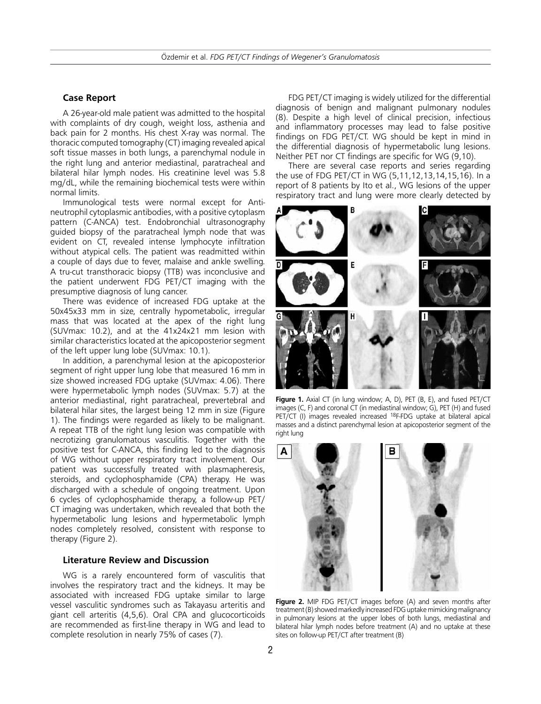#### **Case Report**

A 26-year-old male patient was admitted to the hospital with complaints of dry cough, weight loss, asthenia and back pain for 2 months. His chest X-ray was normal. The thoracic computed tomography (CT) imaging revealed apical soft tissue masses in both lungs, a parenchymal nodule in the right lung and anterior mediastinal, paratracheal and bilateral hilar lymph nodes. His creatinine level was 5.8 mg/dL, while the remaining biochemical tests were within normal limits.

Immunological tests were normal except for Antineutrophil cytoplasmic antibodies, with a positive cytoplasm pattern (C-ANCA) test. Endobronchial ultrasonography guided biopsy of the paratracheal lymph node that was evident on CT, revealed intense lymphocyte infiltration without atypical cells. The patient was readmitted within a couple of days due to fever, malaise and ankle swelling. A tru-cut transthoracic biopsy (TTB) was inconclusive and the patient underwent FDG PET/CT imaging with the presumptive diagnosis of lung cancer.

There was evidence of increased FDG uptake at the 50x45x33 mm in size, centrally hypometabolic, irregular mass that was located at the apex of the right lung (SUVmax: 10.2), and at the 41x24x21 mm lesion with similar characteristics located at the apicoposterior segment of the left upper lung lobe (SUVmax: 10.1).

In addition, a parenchymal lesion at the apicoposterior segment of right upper lung lobe that measured 16 mm in size showed increased FDG uptake (SUVmax: 4.06). There were hypermetabolic lymph nodes (SUVmax: 5.7) at the anterior mediastinal, right paratracheal, prevertebral and bilateral hilar sites, the largest being 12 mm in size (Figure 1). The findings were regarded as likely to be malignant. A repeat TTB of the right lung lesion was compatible with necrotizing granulomatous vasculitis. Together with the positive test for C-ANCA, this finding led to the diagnosis of WG without upper respiratory tract involvement. Our patient was successfully treated with plasmapheresis, steroids, and cyclophosphamide (CPA) therapy. He was discharged with a schedule of ongoing treatment. Upon 6 cycles of cyclophosphamide therapy, a follow-up PET/ CT imaging was undertaken, which revealed that both the hypermetabolic lung lesions and hypermetabolic lymph nodes completely resolved, consistent with response to therapy (Figure 2).

#### **Literature Review and Discussion**

WG is a rarely encountered form of vasculitis that involves the respiratory tract and the kidneys. It may be associated with increased FDG uptake similar to large vessel vasculitic syndromes such as Takayasu arteritis and giant cell arteritis (4,5,6). Oral CPA and glucocorticoids are recommended as first-line therapy in WG and lead to complete resolution in nearly 75% of cases (7).

FDG PET/CT imaging is widely utilized for the differential diagnosis of benign and malignant pulmonary nodules (8). Despite a high level of clinical precision, infectious and inflammatory processes may lead to false positive findings on FDG PET/CT. WG should be kept in mind in the differential diagnosis of hypermetabolic lung lesions. Neither PET nor CT findings are specific for WG (9,10).

There are several case reports and series regarding the use of FDG PET/CT in WG (5,11,12,13,14,15,16). In a report of 8 patients by Ito et al., WG lesions of the upper respiratory tract and lung were more clearly detected by



Figure 1. Axial CT (in lung window; A, D), PET (B, E), and fused PET/CT images (C, F) and coronal CT (in mediastinal window; G), PET (H) and fused PET/CT (I) images revealed increased <sup>18</sup>F-FDG uptake at bilateral apical masses and a distinct parenchymal lesion at apicoposterior segment of the right lung



**Figure 2.** MIP FDG PET/CT images before (A) and seven months after treatment (B) showed markedly increased FDG uptake mimicking malignancy in pulmonary lesions at the upper lobes of both lungs, mediastinal and bilateral hilar lymph nodes before treatment (A) and no uptake at these sites on follow-up PET/CT after treatment (B)